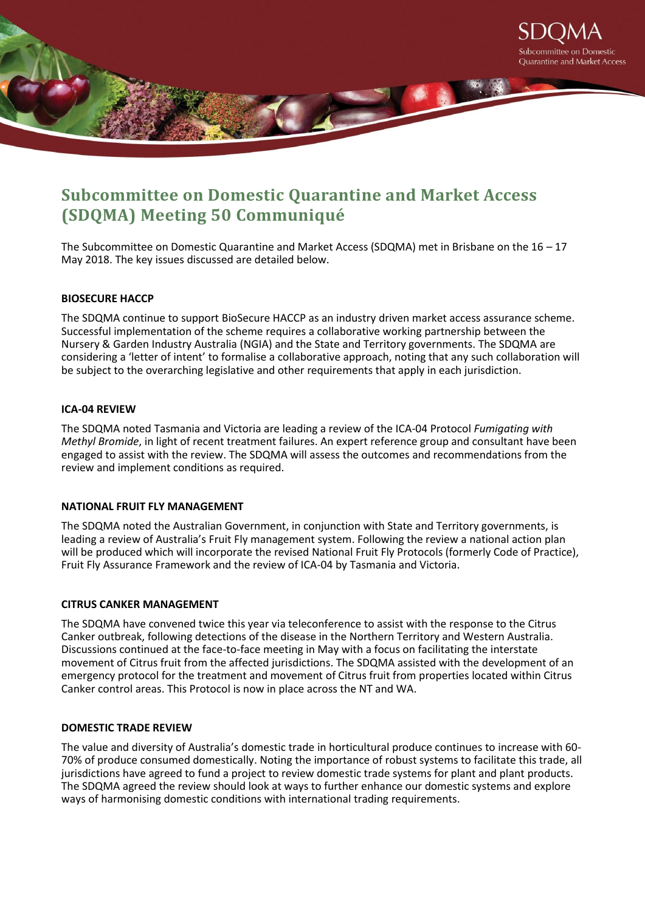

# **Subcommittee on Domestic Quarantine and Market Access (SDQMA) Meeting 50 Communiqué**

The Subcommittee on Domestic Quarantine and Market Access (SDQMA) met in Brisbane on the 16 – 17 May 2018. The key issues discussed are detailed below.

# **BIOSECURE HACCP**

The SDQMA continue to support BioSecure HACCP as an industry driven market access assurance scheme. Successful implementation of the scheme requires a collaborative working partnership between the Nursery & Garden Industry Australia (NGIA) and the State and Territory governments. The SDQMA are considering a 'letter of intent' to formalise a collaborative approach, noting that any such collaboration will be subject to the overarching legislative and other requirements that apply in each jurisdiction.

## **ICA-04 REVIEW**

The SDQMA noted Tasmania and Victoria are leading a review of the ICA-04 Protocol *Fumigating with Methyl Bromide*, in light of recent treatment failures. An expert reference group and consultant have been engaged to assist with the review. The SDQMA will assess the outcomes and recommendations from the review and implement conditions as required.

## **NATIONAL FRUIT FLY MANAGEMENT**

The SDQMA noted the Australian Government, in conjunction with State and Territory governments, is leading a review of Australia's Fruit Fly management system. Following the review a national action plan will be produced which will incorporate the revised National Fruit Fly Protocols (formerly Code of Practice), Fruit Fly Assurance Framework and the review of ICA-04 by Tasmania and Victoria.

#### **CITRUS CANKER MANAGEMENT**

The SDQMA have convened twice this year via teleconference to assist with the response to the Citrus Canker outbreak, following detections of the disease in the Northern Territory and Western Australia. Discussions continued at the face-to-face meeting in May with a focus on facilitating the interstate movement of Citrus fruit from the affected jurisdictions. The SDQMA assisted with the development of an emergency protocol for the treatment and movement of Citrus fruit from properties located within Citrus Canker control areas. This Protocol is now in place across the NT and WA.

## **DOMESTIC TRADE REVIEW**

The value and diversity of Australia's domestic trade in horticultural produce continues to increase with 60- 70% of produce consumed domestically. Noting the importance of robust systems to facilitate this trade, all jurisdictions have agreed to fund a project to review domestic trade systems for plant and plant products. The SDQMA agreed the review should look at ways to further enhance our domestic systems and explore ways of harmonising domestic conditions with international trading requirements.